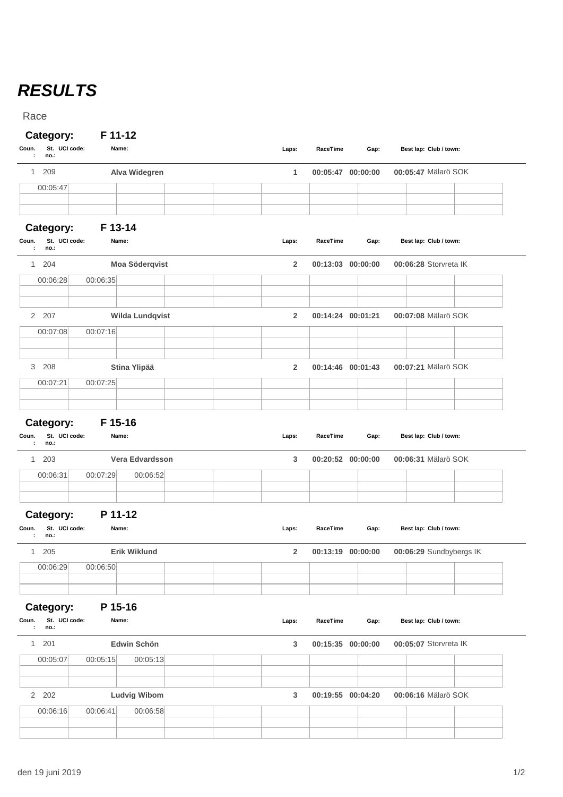## *RESULTS*

Race

## **Category: F 11-12**

| Coun.<br>St. UCI code:<br>no.:<br>÷              | Name:                    | Laps:          | RaceTime          | Gap: | Best lap: Club / town:  |
|--------------------------------------------------|--------------------------|----------------|-------------------|------|-------------------------|
| 209<br>1                                         | Alva Widegren            | 1              | 00:05:47 00:00:00 |      | 00:05:47 Mälarö SOK     |
| 00:05:47                                         |                          |                |                   |      |                         |
|                                                  |                          |                |                   |      |                         |
| Category:                                        | F 13-14                  |                |                   |      |                         |
| St. UCI code:<br>Coun.<br>no.:<br>÷              | Name:                    | Laps:          | RaceTime          | Gap: | Best lap: Club / town:  |
| 204<br>$\mathbf{1}$                              | Moa Söderqvist           | $\overline{2}$ | 00:13:03 00:00:00 |      | 00:06:28 Storvreta IK   |
| 00:06:28                                         | 00:06:35                 |                |                   |      |                         |
|                                                  |                          |                |                   |      |                         |
| 2 207                                            | <b>Wilda Lundqvist</b>   | $\overline{2}$ | 00:14:24 00:01:21 |      | 00:07:08 Mälarö SOK     |
| 00:07:08                                         | 00:07:16                 |                |                   |      |                         |
|                                                  |                          | $\overline{2}$ |                   |      | 00:07:21 Mälarö SOK     |
| 3 208<br>00:07:21                                | Stina Ylipää<br>00:07:25 |                | 00:14:46 00:01:43 |      |                         |
|                                                  |                          |                |                   |      |                         |
| Category:<br>St. UCI code:<br>Coun.<br>no.:<br>÷ | F 15-16<br>Name:         | Laps:          | RaceTime          | Gap: | Best lap: Club / town:  |
| 203<br>$\mathbf{1}$                              | Vera Edvardsson          | 3              | 00:20:52 00:00:00 |      | 00:06:31 Mälarö SOK     |
| 00:06:31                                         | 00:07:29<br>00:06:52     |                |                   |      |                         |
| Category:                                        | P 11-12                  |                |                   |      |                         |
| St. UCI code:<br>Coun.<br>no.:<br>÷              | Name:                    | Laps:          | RaceTime          | Gap: | Best lap: Club / town:  |
| 1<br>205                                         | <b>Erik Wiklund</b>      | $\overline{2}$ | 00:13:19 00:00:00 |      | 00:06:29 Sundbybergs IK |
| 00:06:29                                         | 00:06:50                 |                |                   |      |                         |
|                                                  |                          |                |                   |      |                         |
| Category:                                        | P 15-16                  |                |                   |      |                         |
| St. UCI code:<br>Coun.<br>no.:<br>÷              | Name:                    | Laps:          | RaceTime          | Gap: | Best lap: Club / town:  |
| 1 201                                            | Edwin Schön              | 3              | 00:15:35 00:00:00 |      | 00:05:07 Storvreta IK   |
| 00:05:07                                         | 00:05:15<br>00:05:13     |                |                   |      |                         |
|                                                  |                          |                |                   |      |                         |
| 2 202                                            | <b>Ludvig Wibom</b>      | 3              | 00:19:55 00:04:20 |      | 00:06:16 Mälarö SOK     |
| 00:06:16                                         | 00:06:41<br>00:06:58     |                |                   |      |                         |
|                                                  |                          |                |                   |      |                         |